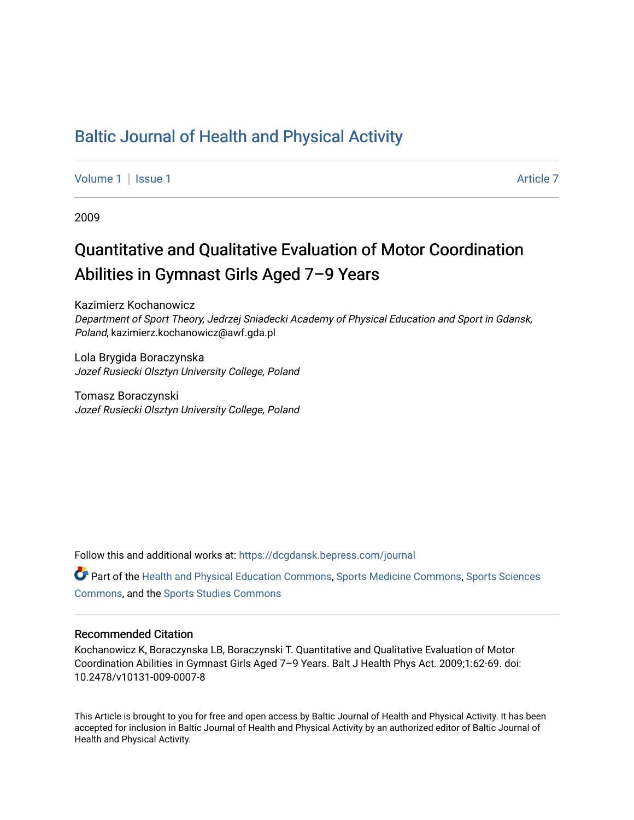## [Baltic Journal of Health and Physical Activity](https://dcgdansk.bepress.com/journal)

[Volume 1](https://dcgdansk.bepress.com/journal/vol1) | [Issue 1](https://dcgdansk.bepress.com/journal/vol1/iss1) Article 7

2009

# Quantitative and Qualitative Evaluation of Motor Coordination Abilities in Gymnast Girls Aged 7–9 Years

Kazimierz Kochanowicz Department of Sport Theory, Jedrzej Sniadecki Academy of Physical Education and Sport in Gdansk, Poland, kazimierz.kochanowicz@awf.gda.pl

Lola Brygida Boraczynska Jozef Rusiecki Olsztyn University College, Poland

Tomasz Boraczynski Jozef Rusiecki Olsztyn University College, Poland

Follow this and additional works at: [https://dcgdansk.bepress.com/journal](https://dcgdansk.bepress.com/journal?utm_source=dcgdansk.bepress.com%2Fjournal%2Fvol1%2Fiss1%2F7&utm_medium=PDF&utm_campaign=PDFCoverPages)

Part of the [Health and Physical Education Commons](http://network.bepress.com/hgg/discipline/1327?utm_source=dcgdansk.bepress.com%2Fjournal%2Fvol1%2Fiss1%2F7&utm_medium=PDF&utm_campaign=PDFCoverPages), [Sports Medicine Commons,](http://network.bepress.com/hgg/discipline/1331?utm_source=dcgdansk.bepress.com%2Fjournal%2Fvol1%2Fiss1%2F7&utm_medium=PDF&utm_campaign=PDFCoverPages) [Sports Sciences](http://network.bepress.com/hgg/discipline/759?utm_source=dcgdansk.bepress.com%2Fjournal%2Fvol1%2Fiss1%2F7&utm_medium=PDF&utm_campaign=PDFCoverPages) [Commons](http://network.bepress.com/hgg/discipline/759?utm_source=dcgdansk.bepress.com%2Fjournal%2Fvol1%2Fiss1%2F7&utm_medium=PDF&utm_campaign=PDFCoverPages), and the [Sports Studies Commons](http://network.bepress.com/hgg/discipline/1198?utm_source=dcgdansk.bepress.com%2Fjournal%2Fvol1%2Fiss1%2F7&utm_medium=PDF&utm_campaign=PDFCoverPages) 

#### Recommended Citation

Kochanowicz K, Boraczynska LB, Boraczynski T. Quantitative and Qualitative Evaluation of Motor Coordination Abilities in Gymnast Girls Aged 7–9 Years. Balt J Health Phys Act. 2009;1:62-69. doi: 10.2478/v10131-009-0007-8

This Article is brought to you for free and open access by Baltic Journal of Health and Physical Activity. It has been accepted for inclusion in Baltic Journal of Health and Physical Activity by an authorized editor of Baltic Journal of Health and Physical Activity.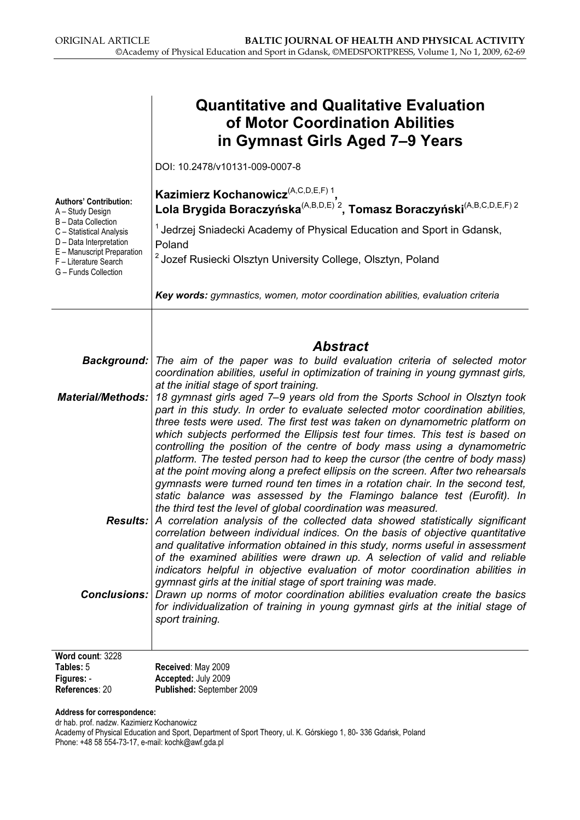| <b>Quantitative and Qualitative Evaluation</b><br>of Motor Coordination Abilities<br>in Gymnast Girls Aged 7–9 Years                                                                                                                                                                                                                                                                                                                                                                                                                                                                                                                                                                                                                                                                                                                                                     |  |  |  |  |  |
|--------------------------------------------------------------------------------------------------------------------------------------------------------------------------------------------------------------------------------------------------------------------------------------------------------------------------------------------------------------------------------------------------------------------------------------------------------------------------------------------------------------------------------------------------------------------------------------------------------------------------------------------------------------------------------------------------------------------------------------------------------------------------------------------------------------------------------------------------------------------------|--|--|--|--|--|
| DOI: 10.2478/v10131-009-0007-8                                                                                                                                                                                                                                                                                                                                                                                                                                                                                                                                                                                                                                                                                                                                                                                                                                           |  |  |  |  |  |
| Kazimierz Kochanowicz <sup>(A,C,D,E,F) 1</sup><br>Lola Brygida Boraczyńska <sup>(A,B,D,E)<sup>2</sup>, Tomasz Boraczyński<sup>(A,B,C,D,E,F) 2</sup></sup><br><sup>1</sup> Jedrzej Sniadecki Academy of Physical Education and Sport in Gdansk,<br>Poland<br><sup>2</sup> Jozef Rusiecki Olsztyn University College, Olsztyn, Poland<br>Key words: gymnastics, women, motor coordination abilities, evaluation criteria                                                                                                                                                                                                                                                                                                                                                                                                                                                   |  |  |  |  |  |
|                                                                                                                                                                                                                                                                                                                                                                                                                                                                                                                                                                                                                                                                                                                                                                                                                                                                          |  |  |  |  |  |
| <b>Abstract</b><br><b>Background:</b> The aim of the paper was to build evaluation criteria of selected motor                                                                                                                                                                                                                                                                                                                                                                                                                                                                                                                                                                                                                                                                                                                                                            |  |  |  |  |  |
| coordination abilities, useful in optimization of training in young gymnast girls,<br>at the initial stage of sport training.<br>18 gymnast girls aged 7-9 years old from the Sports School in Olsztyn took<br>part in this study. In order to evaluate selected motor coordination abilities,<br>three tests were used. The first test was taken on dynamometric platform on<br>which subjects performed the Ellipsis test four times. This test is based on<br>controlling the position of the centre of body mass using a dynamometric<br>platform. The tested person had to keep the cursor (the centre of body mass)<br>at the point moving along a prefect ellipsis on the screen. After two rehearsals<br>gymnasts were turned round ten times in a rotation chair. In the second test,<br>static balance was assessed by the Flamingo balance test (Eurofit). In |  |  |  |  |  |
| the third test the level of global coordination was measured.<br><b>Results:</b> A correlation analysis of the collected data showed statistically significant<br>correlation between individual indices. On the basis of objective quantitative<br>and qualitative information obtained in this study, norms useful in assessment<br>of the examined abilities were drawn up. A selection of valid and reliable<br>indicators helpful in objective evaluation of motor coordination abilities in                                                                                                                                                                                                                                                                                                                                                                        |  |  |  |  |  |
| gymnast girls at the initial stage of sport training was made.<br><b>Conclusions:</b> Drawn up norms of motor coordination abilities evaluation create the basics<br>for individualization of training in young gymnast girls at the initial stage of<br>sport training.                                                                                                                                                                                                                                                                                                                                                                                                                                                                                                                                                                                                 |  |  |  |  |  |
|                                                                                                                                                                                                                                                                                                                                                                                                                                                                                                                                                                                                                                                                                                                                                                                                                                                                          |  |  |  |  |  |
| Received: May 2009<br>Accepted: July 2009<br>Published: September 2009                                                                                                                                                                                                                                                                                                                                                                                                                                                                                                                                                                                                                                                                                                                                                                                                   |  |  |  |  |  |
|                                                                                                                                                                                                                                                                                                                                                                                                                                                                                                                                                                                                                                                                                                                                                                                                                                                                          |  |  |  |  |  |

Address for correspondence:

dr hab. prof. nadzw. Kazimierz Kochanowicz Academy of Physical Education and Sport, Department of Sport Theory, ul. K. Górskiego 1, 80- 336 Gdańsk, Poland Phone: +48 58 554-73-17, e-mail: kochk@awf.gda.pl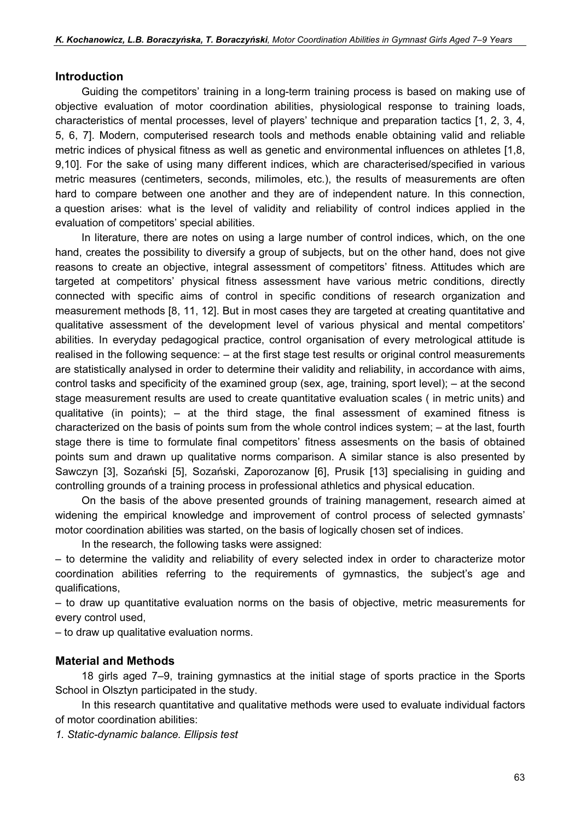#### Introduction

Guiding the competitors' training in a long-term training process is based on making use of objective evaluation of motor coordination abilities, physiological response to training loads, characteristics of mental processes, level of players' technique and preparation tactics [1, 2, 3, 4, 5, 6, 7]. Modern, computerised research tools and methods enable obtaining valid and reliable metric indices of physical fitness as well as genetic and environmental influences on athletes [1,8, 9,10]. For the sake of using many different indices, which are characterised/specified in various metric measures (centimeters, seconds, milimoles, etc.), the results of measurements are often hard to compare between one another and they are of independent nature. In this connection, a question arises: what is the level of validity and reliability of control indices applied in the evaluation of competitors' special abilities.

In literature, there are notes on using a large number of control indices, which, on the one hand, creates the possibility to diversify a group of subjects, but on the other hand, does not give reasons to create an objective, integral assessment of competitors' fitness. Attitudes which are targeted at competitors' physical fitness assessment have various metric conditions, directly connected with specific aims of control in specific conditions of research organization and measurement methods [8, 11, 12]. But in most cases they are targeted at creating quantitative and qualitative assessment of the development level of various physical and mental competitors' abilities. In everyday pedagogical practice, control organisation of every metrological attitude is realised in the following sequence: – at the first stage test results or original control measurements are statistically analysed in order to determine their validity and reliability, in accordance with aims, control tasks and specificity of the examined group (sex, age, training, sport level); – at the second stage measurement results are used to create quantitative evaluation scales ( in metric units) and qualitative (in points); – at the third stage, the final assessment of examined fitness is characterized on the basis of points sum from the whole control indices system; – at the last, fourth stage there is time to formulate final competitors' fitness assesments on the basis of obtained points sum and drawn up qualitative norms comparison. A similar stance is also presented by Sawczyn [3], Sozański [5], Sozański, Zaporozanow [6], Prusik [13] specialising in guiding and controlling grounds of a training process in professional athletics and physical education.

On the basis of the above presented grounds of training management, research aimed at widening the empirical knowledge and improvement of control process of selected gymnasts' motor coordination abilities was started, on the basis of logically chosen set of indices.

In the research, the following tasks were assigned:

– to determine the validity and reliability of every selected index in order to characterize motor coordination abilities referring to the requirements of gymnastics, the subject's age and qualifications,

– to draw up quantitative evaluation norms on the basis of objective, metric measurements for every control used,

– to draw up qualitative evaluation norms.

#### Material and Methods

18 girls aged 7–9, training gymnastics at the initial stage of sports practice in the Sports School in Olsztyn participated in the study.

In this research quantitative and qualitative methods were used to evaluate individual factors of motor coordination abilities:

1. Static-dynamic balance. Ellipsis test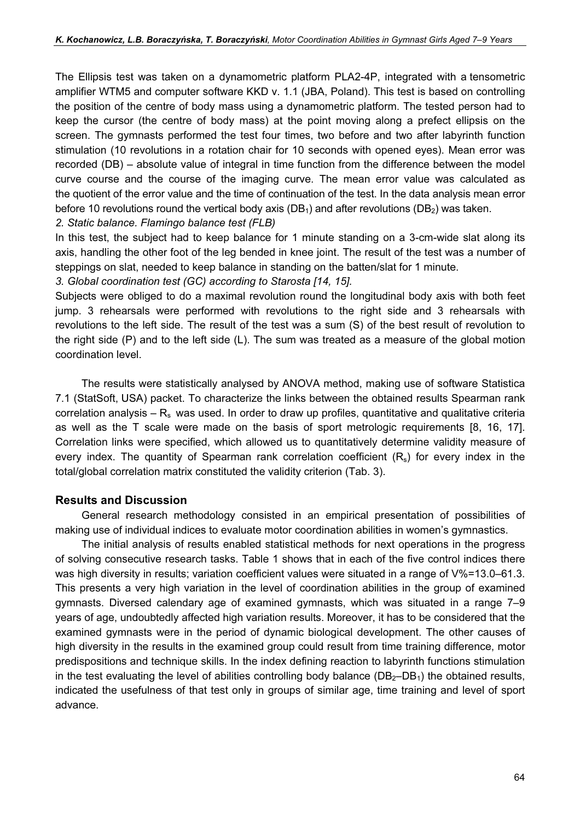The Ellipsis test was taken on a dynamometric platform PLA2-4P, integrated with a tensometric amplifier WTM5 and computer software KKD v. 1.1 (JBA, Poland). This test is based on controlling the position of the centre of body mass using a dynamometric platform. The tested person had to keep the cursor (the centre of body mass) at the point moving along a prefect ellipsis on the screen. The gymnasts performed the test four times, two before and two after labyrinth function stimulation (10 revolutions in a rotation chair for 10 seconds with opened eyes). Mean error was recorded (DB) – absolute value of integral in time function from the difference between the model curve course and the course of the imaging curve. The mean error value was calculated as the quotient of the error value and the time of continuation of the test. In the data analysis mean error before 10 revolutions round the vertical body axis ( $DB_1$ ) and after revolutions ( $DB_2$ ) was taken.

2. Static balance. Flamingo balance test (FLB)

In this test, the subject had to keep balance for 1 minute standing on a 3-cm-wide slat along its axis, handling the other foot of the leg bended in knee joint. The result of the test was a number of steppings on slat, needed to keep balance in standing on the batten/slat for 1 minute.

3. Global coordination test (GC) according to Starosta [14, 15].

Subjects were obliged to do a maximal revolution round the longitudinal body axis with both feet jump. 3 rehearsals were performed with revolutions to the right side and 3 rehearsals with revolutions to the left side. The result of the test was a sum (S) of the best result of revolution to the right side (P) and to the left side (L). The sum was treated as a measure of the global motion coordination level.

The results were statistically analysed by ANOVA method, making use of software Statistica 7.1 (StatSoft, USA) packet. To characterize the links between the obtained results Spearman rank correlation analysis –  $R_s$  was used. In order to draw up profiles, quantitative and qualitative criteria as well as the T scale were made on the basis of sport metrologic requirements [8, 16, 17]. Correlation links were specified, which allowed us to quantitatively determine validity measure of every index. The quantity of Spearman rank correlation coefficient  $(R_s)$  for every index in the total/global correlation matrix constituted the validity criterion (Tab. 3).

### Results and Discussion

General research methodology consisted in an empirical presentation of possibilities of making use of individual indices to evaluate motor coordination abilities in women's gymnastics.

The initial analysis of results enabled statistical methods for next operations in the progress of solving consecutive research tasks. Table 1 shows that in each of the five control indices there was high diversity in results; variation coefficient values were situated in a range of V%=13.0–61.3. This presents a very high variation in the level of coordination abilities in the group of examined gymnasts. Diversed calendary age of examined gymnasts, which was situated in a range 7–9 years of age, undoubtedly affected high variation results. Moreover, it has to be considered that the examined gymnasts were in the period of dynamic biological development. The other causes of high diversity in the results in the examined group could result from time training difference, motor predispositions and technique skills. In the index defining reaction to labyrinth functions stimulation in the test evaluating the level of abilities controlling body balance  $(DB_2-DB_1)$  the obtained results, indicated the usefulness of that test only in groups of similar age, time training and level of sport advance.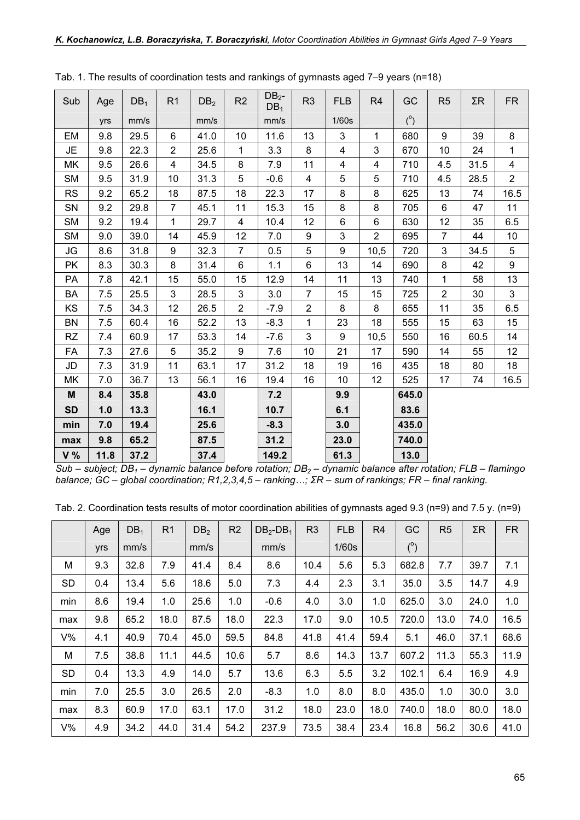| Sub       | Age  | DB <sub>1</sub> | R <sub>1</sub> | DB <sub>2</sub> | R2                      | DB <sub>2</sub><br>DB <sub>1</sub> | R <sub>3</sub> | <b>FLB</b>     | R <sub>4</sub> | GC         | R <sub>5</sub> | $\Sigma R$ | <b>FR</b>               |
|-----------|------|-----------------|----------------|-----------------|-------------------------|------------------------------------|----------------|----------------|----------------|------------|----------------|------------|-------------------------|
|           | yrs  | mm/s            |                | mm/s            |                         | mm/s                               |                | 1/60s          |                | $(^\circ)$ |                |            |                         |
| EM        | 9.8  | 29.5            | 6              | 41.0            | 10                      | 11.6                               | 13             | 3              | $\mathbf{1}$   | 680        | 9              | 39         | 8                       |
| <b>JE</b> | 9.8  | 22.3            | $\overline{2}$ | 25.6            | $\mathbf{1}$            | 3.3                                | 8              | $\overline{4}$ | $\mathfrak{S}$ | 670        | 10             | 24         | $\mathbf 1$             |
| MK        | 9.5  | 26.6            | $\overline{4}$ | 34.5            | 8                       | 7.9                                | 11             | 4              | $\overline{4}$ | 710        | 4.5            | 31.5       | $\overline{\mathbf{4}}$ |
| <b>SM</b> | 9.5  | 31.9            | 10             | 31.3            | 5                       | $-0.6$                             | 4              | 5              | 5              | 710        | 4.5            | 28.5       | $\overline{2}$          |
| <b>RS</b> | 9.2  | 65.2            | 18             | 87.5            | 18                      | 22.3                               | 17             | 8              | 8              | 625        | 13             | 74         | 16.5                    |
| SN        | 9.2  | 29.8            | $\overline{7}$ | 45.1            | 11                      | 15.3                               | 15             | 8              | 8              | 705        | 6              | 47         | 11                      |
| <b>SM</b> | 9.2  | 19.4            | $\mathbf{1}$   | 29.7            | $\overline{\mathbf{4}}$ | 10.4                               | 12             | 6              | $6\phantom{1}$ | 630        | 12             | 35         | 6.5                     |
| <b>SM</b> | 9.0  | 39.0            | 14             | 45.9            | 12                      | 7.0                                | 9              | 3              | $\overline{2}$ | 695        | $\overline{7}$ | 44         | 10                      |
| <b>JG</b> | 8.6  | 31.8            | 9              | 32.3            | $\overline{7}$          | 0.5                                | 5              | 9              | 10,5           | 720        | 3              | 34.5       | 5                       |
| <b>PK</b> | 8.3  | 30.3            | 8              | 31.4            | 6                       | 1.1                                | 6              | 13             | 14             | 690        | 8              | 42         | 9                       |
| PA        | 7.8  | 42.1            | 15             | 55.0            | 15                      | 12.9                               | 14             | 11             | 13             | 740        | $\mathbf{1}$   | 58         | 13                      |
| BA        | 7.5  | 25.5            | 3              | 28.5            | 3                       | 3.0                                | $\overline{7}$ | 15             | 15             | 725        | $\overline{2}$ | 30         | 3                       |
| KS        | 7.5  | 34.3            | 12             | 26.5            | $\overline{2}$          | $-7.9$                             | $\overline{2}$ | 8              | 8              | 655        | 11             | 35         | 6.5                     |
| <b>BN</b> | 7.5  | 60.4            | 16             | 52.2            | 13                      | $-8.3$                             | 1              | 23             | 18             | 555        | 15             | 63         | 15                      |
| <b>RZ</b> | 7.4  | 60.9            | 17             | 53.3            | 14                      | $-7.6$                             | 3              | 9              | 10,5           | 550        | 16             | 60.5       | 14                      |
| FA        | 7.3  | 27.6            | $\overline{5}$ | 35.2            | 9                       | 7.6                                | 10             | 21             | 17             | 590        | 14             | 55         | 12                      |
| JD        | 7.3  | 31.9            | 11             | 63.1            | 17                      | 31.2                               | 18             | 19             | 16             | 435        | 18             | 80         | 18                      |
| МK        | 7.0  | 36.7            | 13             | 56.1            | 16                      | 19.4                               | 16             | 10             | 12             | 525        | 17             | 74         | 16.5                    |
| M         | 8.4  | 35.8            |                | 43.0            |                         | 7.2                                |                | 9.9            |                | 645.0      |                |            |                         |
| <b>SD</b> | 1.0  | 13.3            |                | 16.1            |                         | 10.7                               |                | 6.1            |                | 83.6       |                |            |                         |
| min       | 7.0  | 19.4            |                | 25.6            |                         | $-8.3$                             |                | 3.0            |                | 435.0      |                |            |                         |
| max       | 9.8  | 65.2            |                | 87.5            |                         | 31.2                               |                | 23.0           |                | 740.0      |                |            |                         |
| V %       | 11.8 | 37.2            |                | 37.4            |                         | 149.2                              |                | 61.3           |                | 13.0       |                |            |                         |

Tab. 1. The results of coordination tests and rankings of gymnasts aged 7–9 years (n=18)

Sub – subject; DB<sub>1</sub> – dynamic balance before rotation; DB<sub>2</sub> – dynamic balance after rotation; FLB – flamingo balance; GC – global coordination; R1,2,3,4,5 – ranking…; ΣR – sum of rankings; FR – final ranking.

| Tab. 2. Coordination tests results of motor coordination abilities of gymnasts aged 9.3 ( $n=9$ ) and 7.5 y. ( $n=9$ ) |  |
|------------------------------------------------------------------------------------------------------------------------|--|
|------------------------------------------------------------------------------------------------------------------------|--|

|       | Age | DB <sub>1</sub> | R <sub>1</sub> | DB <sub>2</sub> | R <sub>2</sub> | $DB_2-DB_1$ | R <sub>3</sub> | <b>FLB</b> | R <sub>4</sub> | GC         | R <sub>5</sub> | $\Sigma$ R | <b>FR</b> |
|-------|-----|-----------------|----------------|-----------------|----------------|-------------|----------------|------------|----------------|------------|----------------|------------|-----------|
|       | yrs | mm/s            |                | mm/s            |                | mm/s        |                | 1/60s      |                | $(^\circ)$ |                |            |           |
| М     | 9.3 | 32.8            | 7.9            | 41.4            | 8.4            | 8.6         | 10.4           | 5.6        | 5.3            | 682.8      | 7.7            | 39.7       | 7.1       |
| SD    | 0.4 | 13.4            | 5.6            | 18.6            | 5.0            | 7.3         | 4.4            | 2.3        | 3.1            | 35.0       | 3.5            | 14.7       | 4.9       |
| min   | 8.6 | 19.4            | 1.0            | 25.6            | 1.0            | $-0.6$      | 4.0            | 3.0        | 1.0            | 625.0      | 3.0            | 24.0       | 1.0       |
| max   | 9.8 | 65.2            | 18.0           | 87.5            | 18.0           | 22.3        | 17.0           | 9.0        | 10.5           | 720.0      | 13.0           | 74.0       | 16.5      |
| $V\%$ | 4.1 | 40.9            | 70.4           | 45.0            | 59.5           | 84.8        | 41.8           | 41.4       | 59.4           | 5.1        | 46.0           | 37.1       | 68.6      |
| M     | 7.5 | 38.8            | 11.1           | 44.5            | 10.6           | 5.7         | 8.6            | 14.3       | 13.7           | 607.2      | 11.3           | 55.3       | 11.9      |
| SD    | 0.4 | 13.3            | 4.9            | 14.0            | 5.7            | 13.6        | 6.3            | 5.5        | 3.2            | 102.1      | 6.4            | 16.9       | 4.9       |
| min   | 7.0 | 25.5            | 3.0            | 26.5            | 2.0            | $-8.3$      | 1.0            | 8.0        | 8.0            | 435.0      | 1.0            | 30.0       | 3.0       |
| max   | 8.3 | 60.9            | 17.0           | 63.1            | 17.0           | 31.2        | 18.0           | 23.0       | 18.0           | 740.0      | 18.0           | 80.0       | 18.0      |
| V%    | 4.9 | 34.2            | 44.0           | 31.4            | 54.2           | 237.9       | 73.5           | 38.4       | 23.4           | 16.8       | 56.2           | 30.6       | 41.0      |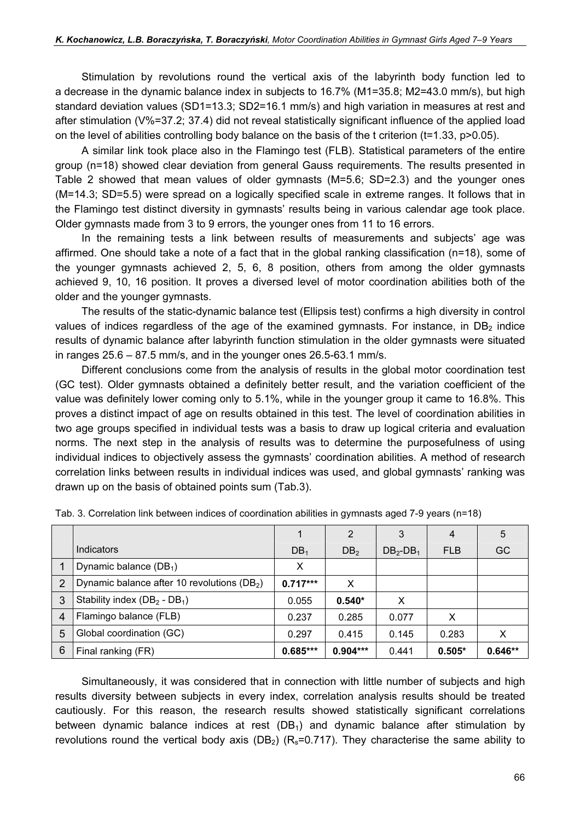Stimulation by revolutions round the vertical axis of the labyrinth body function led to a decrease in the dynamic balance index in subjects to 16.7% (M1=35.8; M2=43.0 mm/s), but high standard deviation values (SD1=13.3; SD2=16.1 mm/s) and high variation in measures at rest and after stimulation (V%=37.2; 37.4) did not reveal statistically significant influence of the applied load on the level of abilities controlling body balance on the basis of the t criterion (t=1.33, p>0.05).

A similar link took place also in the Flamingo test (FLB). Statistical parameters of the entire group (n=18) showed clear deviation from general Gauss requirements. The results presented in Table 2 showed that mean values of older gymnasts (M=5.6; SD=2.3) and the younger ones (M=14.3; SD=5.5) were spread on a logically specified scale in extreme ranges. It follows that in the Flamingo test distinct diversity in gymnasts' results being in various calendar age took place. Older gymnasts made from 3 to 9 errors, the younger ones from 11 to 16 errors.

In the remaining tests a link between results of measurements and subjects' age was affirmed. One should take a note of a fact that in the global ranking classification (n=18), some of the younger gymnasts achieved 2, 5, 6, 8 position, others from among the older gymnasts achieved 9, 10, 16 position. It proves a diversed level of motor coordination abilities both of the older and the younger gymnasts.

The results of the static-dynamic balance test (Ellipsis test) confirms a high diversity in control values of indices regardless of the age of the examined gymnasts. For instance, in  $DB<sub>2</sub>$  indice results of dynamic balance after labyrinth function stimulation in the older gymnasts were situated in ranges 25.6 – 87.5 mm/s, and in the younger ones 26.5-63.1 mm/s.

Different conclusions come from the analysis of results in the global motor coordination test (GC test). Older gymnasts obtained a definitely better result, and the variation coefficient of the value was definitely lower coming only to 5.1%, while in the younger group it came to 16.8%. This proves a distinct impact of age on results obtained in this test. The level of coordination abilities in two age groups specified in individual tests was a basis to draw up logical criteria and evaluation norms. The next step in the analysis of results was to determine the purposefulness of using individual indices to objectively assess the gymnasts' coordination abilities. A method of research correlation links between results in individual indices was used, and global gymnasts' ranking was drawn up on the basis of obtained points sum (Tab.3).

|                |                                                         |                 | 2               | 3           | $\overline{4}$ | 5         |
|----------------|---------------------------------------------------------|-----------------|-----------------|-------------|----------------|-----------|
|                | Indicators                                              | DB <sub>1</sub> | DB <sub>2</sub> | $DB_2-DB_1$ | <b>FLB</b>     | GC        |
|                | Dynamic balance $(DB_1)$                                | х               |                 |             |                |           |
| 2              | Dynamic balance after 10 revolutions (DB <sub>2</sub> ) | $0.717***$      | х               |             |                |           |
| 3              | Stability index $(DB_2 - DB_1$ )                        | 0.055           | $0.540*$        | X           |                |           |
| $\overline{4}$ | Flamingo balance (FLB)                                  | 0.237           | 0.285           | 0.077       | X              |           |
| 5              | Global coordination (GC)                                | 0.297           | 0.415           | 0.145       | 0.283          | X         |
| 6              | Final ranking (FR)                                      | $0.685***$      | $0.904***$      | 0.441       | $0.505*$       | $0.646**$ |

Tab. 3. Correlation link between indices of coordination abilities in gymnasts aged 7-9 years (n=18)

Simultaneously, it was considered that in connection with little number of subjects and high results diversity between subjects in every index, correlation analysis results should be treated cautiously. For this reason, the research results showed statistically significant correlations between dynamic balance indices at rest  $(DB<sub>1</sub>)$  and dynamic balance after stimulation by revolutions round the vertical body axis (DB<sub>2</sub>) (R<sub>s</sub>=0.717). They characterise the same ability to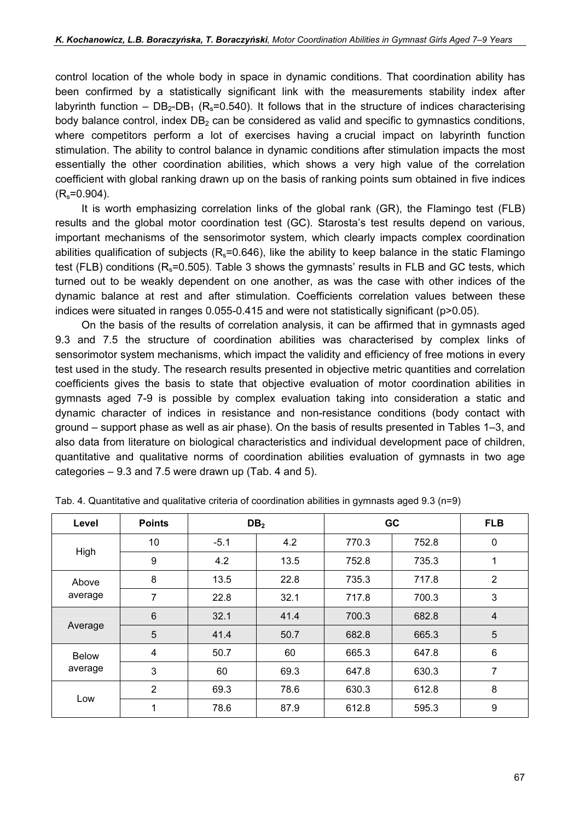control location of the whole body in space in dynamic conditions. That coordination ability has been confirmed by a statistically significant link with the measurements stability index after labyrinth function –  $DB_2-DB_1$  (R<sub>s</sub>=0.540). It follows that in the structure of indices characterising body balance control, index  $DB<sub>2</sub>$  can be considered as valid and specific to gymnastics conditions, where competitors perform a lot of exercises having a crucial impact on labyrinth function stimulation. The ability to control balance in dynamic conditions after stimulation impacts the most essentially the other coordination abilities, which shows a very high value of the correlation coefficient with global ranking drawn up on the basis of ranking points sum obtained in five indices  $(R_s=0.904)$ .

It is worth emphasizing correlation links of the global rank (GR), the Flamingo test (FLB) results and the global motor coordination test (GC). Starosta's test results depend on various, important mechanisms of the sensorimotor system, which clearly impacts complex coordination abilities qualification of subjects ( $R_s$ =0.646), like the ability to keep balance in the static Flamingo test (FLB) conditions ( $R_s$ =0.505). Table 3 shows the gymnasts' results in FLB and GC tests, which turned out to be weakly dependent on one another, as was the case with other indices of the dynamic balance at rest and after stimulation. Coefficients correlation values between these indices were situated in ranges 0.055-0.415 and were not statistically significant (p>0.05).

On the basis of the results of correlation analysis, it can be affirmed that in gymnasts aged 9.3 and 7.5 the structure of coordination abilities was characterised by complex links of sensorimotor system mechanisms, which impact the validity and efficiency of free motions in every test used in the study. The research results presented in objective metric quantities and correlation coefficients gives the basis to state that objective evaluation of motor coordination abilities in gymnasts aged 7-9 is possible by complex evaluation taking into consideration a static and dynamic character of indices in resistance and non-resistance conditions (body contact with ground – support phase as well as air phase). On the basis of results presented in Tables 1–3, and also data from literature on biological characteristics and individual development pace of children, quantitative and qualitative norms of coordination abilities evaluation of gymnasts in two age categories – 9.3 and 7.5 were drawn up (Tab. 4 and 5).

| Level                                                                 | <b>Points</b>  |        | DB <sub>2</sub> |       | <b>GC</b>                                                                      | <b>FLB</b>     |
|-----------------------------------------------------------------------|----------------|--------|-----------------|-------|--------------------------------------------------------------------------------|----------------|
| High<br>Above<br>average<br>Average<br><b>Below</b><br>average<br>Low | 10             | $-5.1$ | 4.2             | 770.3 | 752.8                                                                          | 0              |
|                                                                       | 9              | 4.2    | 13.5            | 752.8 | 735.3                                                                          | 1              |
|                                                                       | 8              | 13.5   | 22.8            | 735.3 | 717.8                                                                          | $\overline{2}$ |
|                                                                       | 7              | 22.8   | 32.1            | 717.8 | 3<br>700.3<br>$\overline{4}$<br>682.8<br>5<br>665.3<br>$6\phantom{1}$<br>647.8 |                |
|                                                                       | $\,6$          | 32.1   | 41.4            | 700.3 |                                                                                |                |
|                                                                       | 5              | 41.4   | 50.7            | 682.8 | 7<br>630.3<br>8<br>612.8<br>9<br>595.3                                         |                |
|                                                                       | $\overline{4}$ | 50.7   | 60              | 665.3 |                                                                                |                |
|                                                                       | 3              | 60     | 69.3            | 647.8 |                                                                                |                |
|                                                                       | $\overline{2}$ | 69.3   | 78.6            | 630.3 |                                                                                |                |
|                                                                       | 1              | 78.6   | 87.9            | 612.8 |                                                                                |                |

Tab. 4. Quantitative and qualitative criteria of coordination abilities in gymnasts aged 9.3 (n=9)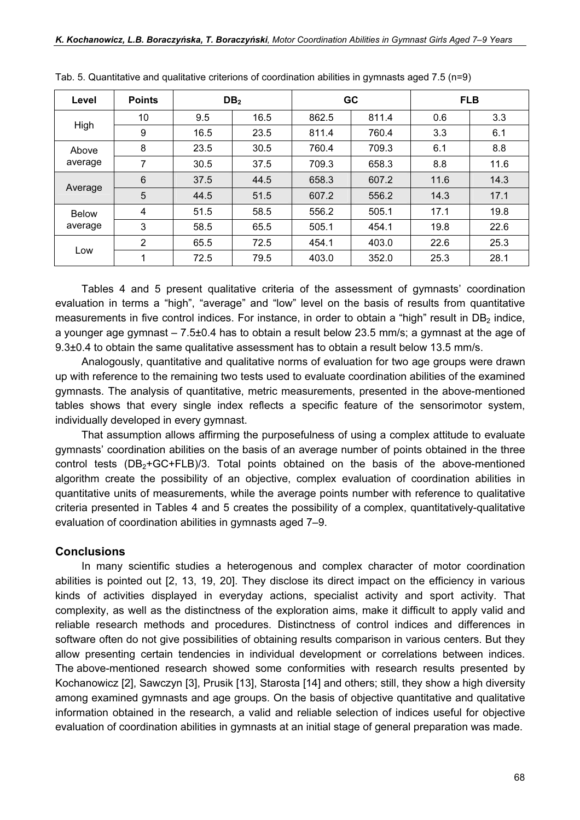| Level        | <b>Points</b>   |      | DB <sub>2</sub> |       | <b>GC</b> |                                                                                                                                                       |     |
|--------------|-----------------|------|-----------------|-------|-----------|-------------------------------------------------------------------------------------------------------------------------------------------------------|-----|
|              | 10              | 9.5  | 16.5            | 862.5 | 811.4     | 0.6                                                                                                                                                   | 3.3 |
| High         | 9               | 16.5 | 23.5            | 811.4 | 760.4     | <b>FLB</b><br>6.1<br>3.3<br>6.1<br>8.8<br>11.6<br>8.8<br>11.6<br>14.3<br>17.1<br>14.3<br>17.1<br>19.8<br>22.6<br>19.8<br>25.3<br>22.6<br>28.1<br>25.3 |     |
| Above        | 8               | 23.5 | 30.5            | 760.4 | 709.3     |                                                                                                                                                       |     |
| average      | 7               | 30.5 | 37.5            | 709.3 | 658.3     |                                                                                                                                                       |     |
|              | $6\phantom{1}6$ | 37.5 | 44.5            | 658.3 | 607.2     |                                                                                                                                                       |     |
| Average      | 5               | 44.5 | 51.5            | 607.2 | 556.2     |                                                                                                                                                       |     |
| <b>Below</b> | 4               | 51.5 | 58.5            | 556.2 | 505.1     |                                                                                                                                                       |     |
| average      | 3               | 58.5 | 65.5            | 505.1 | 454.1     |                                                                                                                                                       |     |
|              | $\overline{2}$  | 65.5 | 72.5            | 454.1 | 403.0     |                                                                                                                                                       |     |
| Low          | 1               | 72.5 | 79.5            | 403.0 | 352.0     |                                                                                                                                                       |     |

| Tab. 5. Quantitative and qualitative criterions of coordination abilities in gymnasts aged 7.5 ( $n=9$ ) |  |  |  |  |
|----------------------------------------------------------------------------------------------------------|--|--|--|--|
|                                                                                                          |  |  |  |  |

Tables 4 and 5 present qualitative criteria of the assessment of gymnasts' coordination evaluation in terms a "high", "average" and "low" level on the basis of results from quantitative measurements in five control indices. For instance, in order to obtain a "high" result in  $DB<sub>2</sub>$  indice, a younger age gymnast – 7.5±0.4 has to obtain a result below 23.5 mm/s; a gymnast at the age of 9.3±0.4 to obtain the same qualitative assessment has to obtain a result below 13.5 mm/s.

Analogously, quantitative and qualitative norms of evaluation for two age groups were drawn up with reference to the remaining two tests used to evaluate coordination abilities of the examined gymnasts. The analysis of quantitative, metric measurements, presented in the above-mentioned tables shows that every single index reflects a specific feature of the sensorimotor system, individually developed in every gymnast.

That assumption allows affirming the purposefulness of using a complex attitude to evaluate gymnasts' coordination abilities on the basis of an average number of points obtained in the three control tests  $(DB_2+GC+FLB)/3$ . Total points obtained on the basis of the above-mentioned algorithm create the possibility of an objective, complex evaluation of coordination abilities in quantitative units of measurements, while the average points number with reference to qualitative criteria presented in Tables 4 and 5 creates the possibility of a complex, quantitatively-qualitative evaluation of coordination abilities in gymnasts aged 7–9.

#### **Conclusions**

In many scientific studies a heterogenous and complex character of motor coordination abilities is pointed out [2, 13, 19, 20]. They disclose its direct impact on the efficiency in various kinds of activities displayed in everyday actions, specialist activity and sport activity. That complexity, as well as the distinctness of the exploration aims, make it difficult to apply valid and reliable research methods and procedures. Distinctness of control indices and differences in software often do not give possibilities of obtaining results comparison in various centers. But they allow presenting certain tendencies in individual development or correlations between indices. The above-mentioned research showed some conformities with research results presented by Kochanowicz [2], Sawczyn [3], Prusik [13], Starosta [14] and others; still, they show a high diversity among examined gymnasts and age groups. On the basis of objective quantitative and qualitative information obtained in the research, a valid and reliable selection of indices useful for objective evaluation of coordination abilities in gymnasts at an initial stage of general preparation was made.